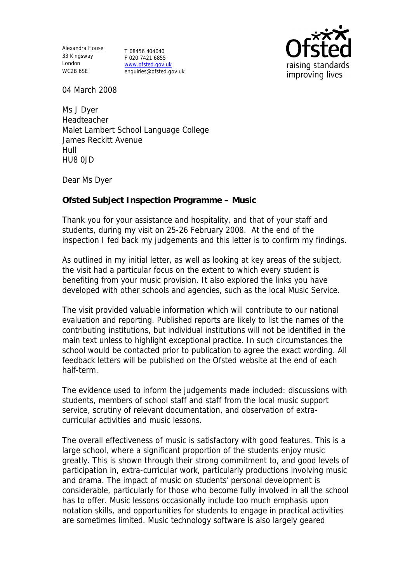Alexandra House 33 Kingsway T 08456 404040 London WC2B 6SE

F 020 7421 6855 www.ofsted.gov.uk enquiries@ofsted.gov.uk



04 March 2008

Ms J Dyer Headteacher Malet Lambert School Language College James Reckitt Avenue Hull HU8 0JD

Dear Ms Dyer

**Ofsted Subject Inspection Programme – Music** 

Thank you for your assistance and hospitality, and that of your staff and students, during my visit on 25-26 February 2008. At the end of the inspection I fed back my judgements and this letter is to confirm my findings.

As outlined in my initial letter, as well as looking at key areas of the subject, the visit had a particular focus on the extent to which every student is benefiting from your music provision. It also explored the links you have developed with other schools and agencies, such as the local Music Service.

The visit provided valuable information which will contribute to our national evaluation and reporting. Published reports are likely to list the names of the contributing institutions, but individual institutions will not be identified in the main text unless to highlight exceptional practice. In such circumstances the school would be contacted prior to publication to agree the exact wording. All feedback letters will be published on the Ofsted website at the end of each half-term.

The evidence used to inform the judgements made included: discussions with students, members of school staff and staff from the local music support service, scrutiny of relevant documentation, and observation of extracurricular activities and music lessons.

The overall effectiveness of music is satisfactory with good features. This is a large school, where a significant proportion of the students enjoy music greatly. This is shown through their strong commitment to, and good levels of participation in, extra-curricular work, particularly productions involving music and drama. The impact of music on students' personal development is considerable, particularly for those who become fully involved in all the school has to offer. Music lessons occasionally include too much emphasis upon notation skills, and opportunities for students to engage in practical activities are sometimes limited. Music technology software is also largely geared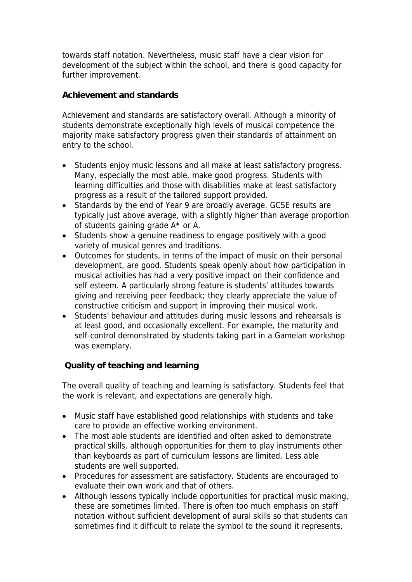towards staff notation. Nevertheless, music staff have a clear vision for development of the subject within the school, and there is good capacity for further improvement.

**Achievement and standards**

Achievement and standards are satisfactory overall. Although a minority of students demonstrate exceptionally high levels of musical competence the majority make satisfactory progress given their standards of attainment on entry to the school.

- Students enjoy music lessons and all make at least satisfactory progress. Many, especially the most able, make good progress. Students with learning difficulties and those with disabilities make at least satisfactory progress as a result of the tailored support provided.
- Standards by the end of Year 9 are broadly average. GCSE results are typically just above average, with a slightly higher than average proportion of students gaining grade A\* or A.
- Students show a genuine readiness to engage positively with a good variety of musical genres and traditions.
- Outcomes for students, in terms of the impact of music on their personal development, are good. Students speak openly about how participation in musical activities has had a very positive impact on their confidence and self esteem. A particularly strong feature is students' attitudes towards giving and receiving peer feedback; they clearly appreciate the value of constructive criticism and support in improving their musical work.
- Students' behaviour and attitudes during music lessons and rehearsals is at least good, and occasionally excellent. For example, the maturity and self-control demonstrated by students taking part in a Gamelan workshop was exemplary.

 **Quality of teaching and learning**

The overall quality of teaching and learning is satisfactory. Students feel that the work is relevant, and expectations are generally high.

- Music staff have established good relationships with students and take care to provide an effective working environment.
- The most able students are identified and often asked to demonstrate practical skills, although opportunities for them to play instruments other than keyboards as part of curriculum lessons are limited. Less able students are well supported.
- Procedures for assessment are satisfactory. Students are encouraged to evaluate their own work and that of others.
- Although lessons typically include opportunities for practical music making, these are sometimes limited. There is often too much emphasis on staff notation without sufficient development of aural skills so that students can sometimes find it difficult to relate the symbol to the sound it represents.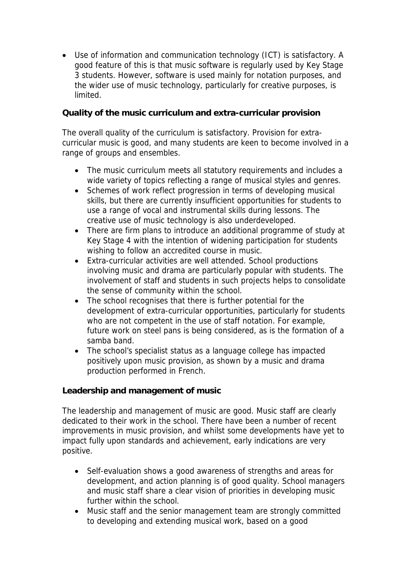Use of information and communication technology (ICT) is satisfactory. A good feature of this is that music software is regularly used by Key Stage 3 students. However, software is used mainly for notation purposes, and the wider use of music technology, particularly for creative purposes, is limited.

**Quality of the music curriculum and extra-curricular provision**

The overall quality of the curriculum is satisfactory. Provision for extracurricular music is good, and many students are keen to become involved in a range of groups and ensembles.

- The music curriculum meets all statutory requirements and includes a wide variety of topics reflecting a range of musical styles and genres.
- Schemes of work reflect progression in terms of developing musical skills, but there are currently insufficient opportunities for students to use a range of vocal and instrumental skills during lessons. The creative use of music technology is also underdeveloped.
- There are firm plans to introduce an additional programme of study at Key Stage 4 with the intention of widening participation for students wishing to follow an accredited course in music.
- Extra-curricular activities are well attended. School productions involving music and drama are particularly popular with students. The involvement of staff and students in such projects helps to consolidate the sense of community within the school.
- The school recognises that there is further potential for the development of extra-curricular opportunities, particularly for students who are not competent in the use of staff notation. For example, future work on steel pans is being considered, as is the formation of a samba band.
- The school's specialist status as a language college has impacted positively upon music provision, as shown by a music and drama production performed in French.

**Leadership and management of music**

The leadership and management of music are good. Music staff are clearly dedicated to their work in the school. There have been a number of recent improvements in music provision, and whilst some developments have yet to impact fully upon standards and achievement, early indications are very positive.

- Self-evaluation shows a good awareness of strengths and areas for development, and action planning is of good quality. School managers and music staff share a clear vision of priorities in developing music further within the school.
- Music staff and the senior management team are strongly committed to developing and extending musical work, based on a good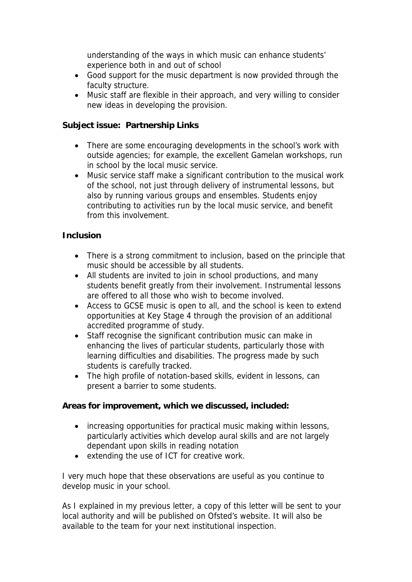understanding of the ways in which music can enhance students' experience both in and out of school

- Good support for the music department is now provided through the faculty structure.
- Music staff are flexible in their approach, and very willing to consider new ideas in developing the provision.

**Subject issue: Partnership Links**

- There are some encouraging developments in the school's work with outside agencies; for example, the excellent Gamelan workshops, run in school by the local music service.
- Music service staff make a significant contribution to the musical work of the school, not just through delivery of instrumental lessons, but also by running various groups and ensembles. Students enjoy contributing to activities run by the local music service, and benefit from this involvement.

## **Inclusion**

- There is a strong commitment to inclusion, based on the principle that music should be accessible by all students.
- All students are invited to join in school productions, and many students benefit greatly from their involvement. Instrumental lessons are offered to all those who wish to become involved.
- Access to GCSE music is open to all, and the school is keen to extend opportunities at Key Stage 4 through the provision of an additional accredited programme of study.
- Staff recognise the significant contribution music can make in enhancing the lives of particular students, particularly those with learning difficulties and disabilities. The progress made by such students is carefully tracked.
- The high profile of notation-based skills, evident in lessons, can present a barrier to some students.

**Areas for improvement, which we discussed, included:**

- increasing opportunities for practical music making within lessons, particularly activities which develop aural skills and are not largely dependant upon skills in reading notation
- extending the use of ICT for creative work.

I very much hope that these observations are useful as you continue to develop music in your school.

As I explained in my previous letter, a copy of this letter will be sent to your local authority and will be published on Ofsted's website. It will also be available to the team for your next institutional inspection.